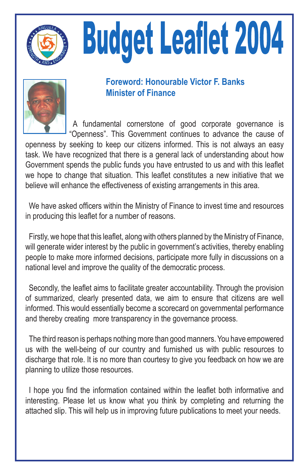

# **Budget Leaflet 2004**



### **Foreword: Honourable Victor F. Banks Minister of Finance**

A fundamental cornerstone of good corporate governance is "Openness". This Government continues to advance the cause of openness by seeking to keep our citizens informed. This is not always an easy task. We have recognized that there is a general lack of understanding about how Government spends the public funds you have entrusted to us and with this leaflet we hope to change that situation. This leaflet constitutes a new initiative that we believe will enhance the effectiveness of existing arrangements in this area.

We have asked officers within the Ministry of Finance to invest time and resources in producing this leaflet for a number of reasons.

Firstly, we hope that this leaflet, along with others planned by the Ministry of Finance, will generate wider interest by the public in government's activities, thereby enabling people to make more informed decisions, participate more fully in discussions on a national level and improve the quality of the democratic process.

Secondly, the leaflet aims to facilitate greater accountability. Through the provision of summarized, clearly presented data, we aim to ensure that citizens are well informed. This would essentially become a scorecard on governmental performance and thereby creating more transparency in the governance process.

The third reason is perhaps nothing more than good manners. You have empowered us with the well-being of our country and furnished us with public resources to discharge that role. It is no more than courtesy to give you feedback on how we are planning to utilize those resources.

I hope vou find the information contained within the leaflet both informative and interesting. Please let us know what you think by completing and returning the attached slip. This will help us in improving future publications to meet your needs.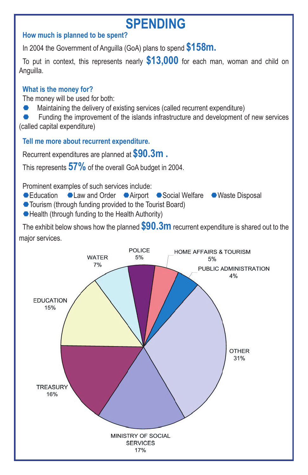# **SPENDING**

#### **How much is planned to be spent?**

In 2004 the Government of Anguilla (GoA) plans to spend **\$158m.**

To put in context, this represents nearly **\$13,000** for each man, woman and child on Anguilla.

#### **What is the money for?**

The money will be used for both:

Maintaining the delivery of existing services (called recurrent expenditure)

Funding the improvement of the islands infrastructure and development of new services

(called capital expenditure)

**Tell me more about recurrent expenditure.**

Recurrent expenditures are planned at **\$90.3m .**

This represents **57%** of the overall GoA budget in 2004.

Prominent examples of such services include:

- Education Law and Order Airport Social Welfare Waste Disposal
- Tourism (through funding provided to the Tourist Board)
- Health (through funding to the Health Authority)

The exhibit below shows how the planned **\$90.3m** recurrent expenditure is shared out to the major services.

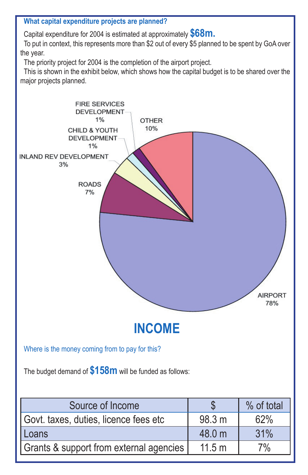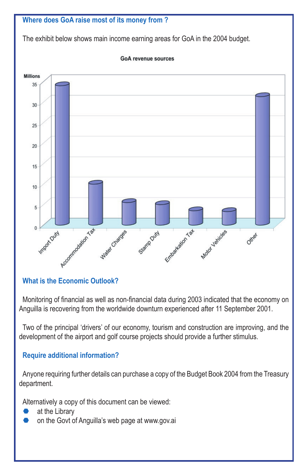

#### **What is the Economic Outlook?**

Monitoring of financial as well as non-financial data during 2003 indicated that the economy on Anguilla is recovering from the worldwide downturn experienced after 11 September 2001.

Two of the principal 'drivers' of our economy, tourism and construction are improving, and the development of the airport and golf course projects should provide a further stimulus.

#### **Require additional information?**

Anyone requiring further details can purchase a copy of the Budget Book 2004 from the Treasury department.

Alternatively a copy of this document can be viewed:

- at the Library
- on the Govt of Anguilla's web page at www.gov.ai